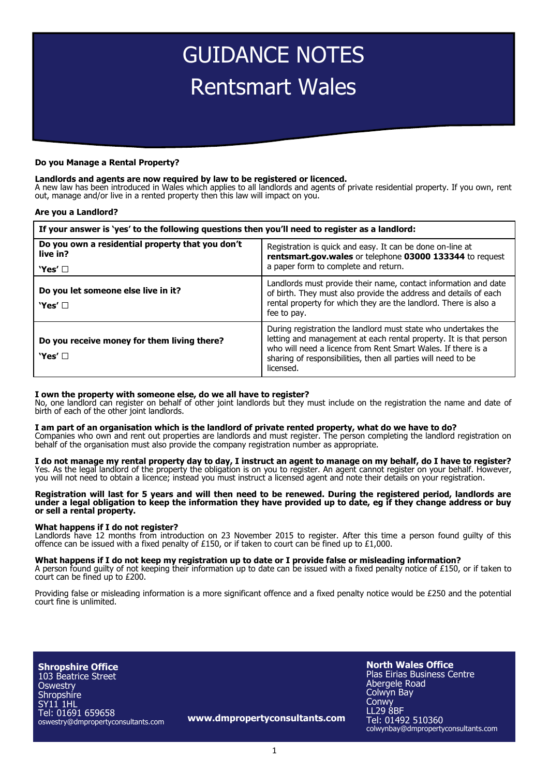# GUIDANCE NOTES Rentsmart Wales

#### **Do you Manage a Rental Property?**

### **Landlords and agents are now required by law to be registered or licenced.**

A new law has been introduced in Wales which applies to all landlords and agents of private residential property. If you own, rent out, manage and/or live in a rented property then this law will impact on you.

#### **Are you a Landlord?**

| If your answer is 'yes' to the following questions then you'll need to register as a landlord: |                                                                                                                                                                                                                                                                                   |
|------------------------------------------------------------------------------------------------|-----------------------------------------------------------------------------------------------------------------------------------------------------------------------------------------------------------------------------------------------------------------------------------|
| Do you own a residential property that you don't<br>live in?<br>'Yes' □                        | Registration is quick and easy. It can be done on-line at<br>rentsmart.gov.wales or telephone 03000 133344 to request<br>a paper form to complete and return.                                                                                                                     |
| Do you let someone else live in it?<br>'Yes' $\Box$                                            | Landlords must provide their name, contact information and date<br>of birth. They must also provide the address and details of each<br>rental property for which they are the landlord. There is also a<br>fee to pay.                                                            |
| Do you receive money for them living there?<br>'Yes' $\Box$                                    | During registration the landlord must state who undertakes the<br>letting and management at each rental property. It is that person<br>who will need a licence from Rent Smart Wales. If there is a<br>sharing of responsibilities, then all parties will need to be<br>licensed. |

#### **I own the property with someone else, do we all have to register?**

No, one landlord can register on behalf of other joint landlords but they must include on the registration the name and date of birth of each of the other joint landlords.

### **I am part of an organisation which is the landlord of private rented property, what do we have to do?**

Companies who own and rent out properties are landlords and must register. The person completing the landlord registration on behalf of the organisation must also provide the company registration number as appropriate.

## **I do not manage my rental property day to day, I instruct an agent to manage on my behalf, do I have to register?**

Yes. As the legal landlord of the property the obligation is on you to register. An agent cannot register on your behalf. However, you will not need to obtain a licence; instead you must instruct a licensed agent and note their details on your registration.

#### **Registration will last for 5 years and will then need to be renewed. During the registered period, landlords are under a legal obligation to keep the information they have provided up to date, eg if they change address or buy or sell a rental property.**

#### **What happens if I do not register?**

Landlords have 12 months from introduction on 23 November 2015 to register. After this time a person found guilty of this offence can be issued with a fixed penalty of £150, or if taken to court can be fined up to £1,000.

#### **What happens if I do not keep my registration up to date or I provide false or misleading information?**

A person found guilty of not keeping their information up to date can be issued with a fixed penalty notice of £150, or if taken to court can be fined up to £200.

Providing false or misleading information is a more significant offence and a fixed penalty notice would be £250 and the potential court fine is unlimited.

**Shropshire Office** 103 Beatrice Street **Oswestry Shropshire** SY11 1HL Tel: 01691 659658 oswestry@dmpropertyconsultants.com

**www.dmpropertyconsultants.com**

**North Wales Office** Plas Eirias Business Centre Abergele Road Colwyn Bay **Conwy** LL29 8BF Tel: 01492 510360 colwynbay@dmpropertyconsultants.com